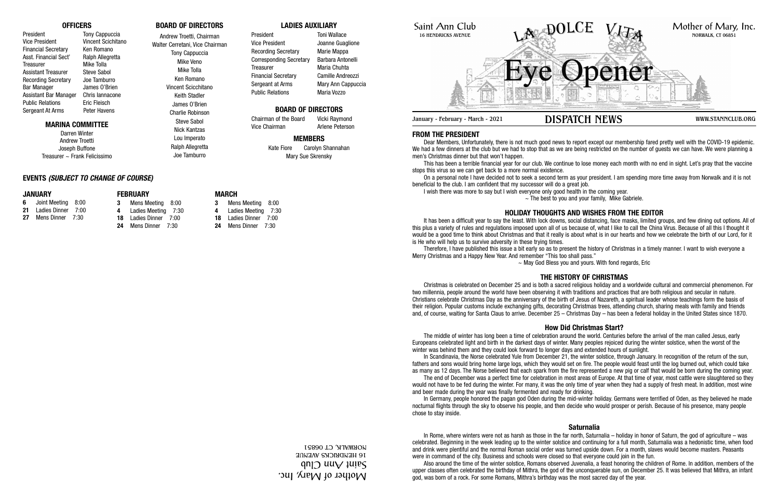# Saint Ann Club 16 HENDRICKS AVENUE

# **FROM THE PRESIDENT**

Dear Members, Unfortunately, there is not much good news to report except our membership fared pretty well with the COVID-19 epidemic. We had a few dinners at the club but we had to stop that as we are being restricted on the number of guests we can have. We were planning a men's Christmas dinner but that won't happen.

On a personal note I have decided not to seek a second term as your president. I am spending more time away from Norwalk and it is not beneficial to the club. I am confident that my successor will do a great job. I wish there was more to say but I wish everyone only good health in the coming year.  $\sim$  The best to you and your family, Mike Gabriele.

This has been a terrible financial year for our club. We continue to lose money each month with no end in sight. Let's pray that the vaccine stops this virus so we can get back to a more normal existence.

Therefore, I have published this issue a bit early so as to present the history of Christmas in a timely manner. I want to wish everyone a Merry Christmas and a Happy New Year. And remember "This too shall pass."  $\sim$  May God Bless you and yours. With fond regards, Eric

# **HOLIDAY THOUGHTS AND WISHES FROM THE EDITOR**

It has been a difficult year to say the least. With lock downs, social distancing, face masks, limited groups, and few dining out options. All of this plus a variety of rules and regulations imposed upon all of us because of, what I like to call the China Virus. Because of all this I thought it would be a good time to think about Christmas and that it really is about what is in our hearts and how we celebrate the birth of our Lord, for it is He who will help us to survive adversity in these trying times.

# **THE HISTORY OF CHRISTMAS**

Christmas is celebrated on December 25 and is both a sacred religious holiday and a worldwide cultural and commercial phenomenon. For two millennia, people around the world have been observing it with traditions and practices that are both religious and secular in nature. Christians celebrate Christmas Day as the anniversary of the birth of Jesus of Nazareth, a spiritual leader whose teachings form the basis of their religion. Popular customs include exchanging gifts, decorating Christmas trees, attending church, sharing meals with family and friends and, of course, waiting for Santa Claus to arrive. December 25 – Christmas Day – has been a federal holiday in the United States since 1870.

# **How Did Christmas Start?**

Darren Winter Andrew Troetti Joseph Buffone Treasurer  $\sim$  Frank Felicissimo

President Toni Wallace Vice President Joanne Guaglione Recording Secretary Marie Mappa Corresponding Secretary Barbara Antonelli Treasurer Maria Chuhta Financial Secretary Camille Andreozzi Sergeant at Arms Mary Ann Cappuccia Public Relations Maria Vozzo



January - February - March - 2021 **DISPATCH NEWS** WWW.STANNCLUB.ORG

The middle of winter has long been a time of celebration around the world. Centuries before the arrival of the man called Jesus, early Europeans celebrated light and birth in the darkest days of winter. Many peoples rejoiced during the winter solstice, when the worst of the winter was behind them and they could look forward to longer days and extended hours of sunlight. In Scandinavia, the Norse celebrated Yule from December 21, the winter solstice, through January. In recognition of the return of the sun, fathers and sons would bring home large logs, which they would set on fire. The people would feast until the log burned out, which could take as many as 12 days. The Norse believed that each spark from the fire represented a new pig or calf that would be born during the coming year. The end of December was a perfect time for celebration in most areas of Europe. At that time of year, most cattle were slaughtered so they would not have to be fed during the winter. For many, it was the only time of year when they had a supply of fresh meat. In addition, most wine and beer made during the year was finally fermented and ready for drinking. In Germany, people honored the pagan god Oden during the mid-winter holiday. Germans were terrified of Oden, as they believed he made nocturnal flights through the sky to observe his people, and then decide who would prosper or perish. Because of his presence, many people chose to stay inside.

# **Saturnalia**

In Rome, where winters were not as harsh as those in the far north, Saturnalia – holiday in honor of Saturn, the god of agriculture – was celebrated. Beginning in the week leading up to the winter solstice and continuing for a full month, Saturnalia was a hedonistic time, when food and drink were plentiful and the normal Roman social order was turned upside down. For a month, slaves would become masters. Peasants were in command of the city. Business and schools were closed so that everyone could join in the fun. Also around the time of the winter solstice, Romans observed Juvenalia, a feast honoring the children of Rome. In addition, members of the upper classes often celebrated the birthday of Mithra, the god of the unconquerable sun, on December 25. It was believed that Mithra, an infant god, was born of a rock. For some Romans, Mithra's birthday was the most sacred day of the year.

# **OFFICERS**

President Tony Cappuccia Vice President Vincent Scichitano Financial Secretary Ken Romano Asst. Financial Sect' Ralph Allegretta Treasurer Mike Tolla Assistant Treasurer Steve Sabol Recording Secretary Joe Tamburro Bar Manager James O'Brien Assistant Bar Manager Chris Iannacone Public Relations Eric Fleisch Sergeant At Arms Peter Havens

### **MARINA COMMITTEE**

**BOARD OF DIRECTORS** Andrew Troetti, Chairman

# Walter Cerretani, Vice Chairman Tony Cappuccia Mike Veno

Mike Tolla Ken Romano Vincent Scicchitano Keith Stadler James O'Brien Charlie Robinson

Steve Sabol Nick Kantzas

Lou Imperato

Ralph Allegretta Joe Tamburro

### **LADIES AUXILIARY**

# **BOARD OF DIRECTORS**

Chairman of the Board Vicki Raymond

### **MEMBERS**

Kate Fiore Carolyn Shannahan Mary Sue Skrensky

Vice Chairman **Arlene Peterson** 

# **EVENTS** *(SUBJECT TO CHANGE OF COURSE)*

### **JANUARY**

- **6** Joint Meeting 8:00 **21** Ladies Dinner 7:00
- **27** Mens Dinner 7:30
	-
- **FEBRUARY 3** Mens Meeting 8:00 **4** Ladies Meeting 7:30 **18** Ladies Dinner 7:00

**24** Mens Dinner 7:30

# **MARCH**

 Mens Meeting 8:00 Ladies Meeting 7:30 Ladies Dinner 7:00 Mens Dinner 7:30

> Mother of Mary, Inc.  $\mathfrak{q}$ n $\mathfrak{q}$  uu $\mathfrak{q}$   $\mathfrak{q}$  uu $\mathfrak{q}$ 16 HENDRICKS AVENUE NORWALK, CT 06851